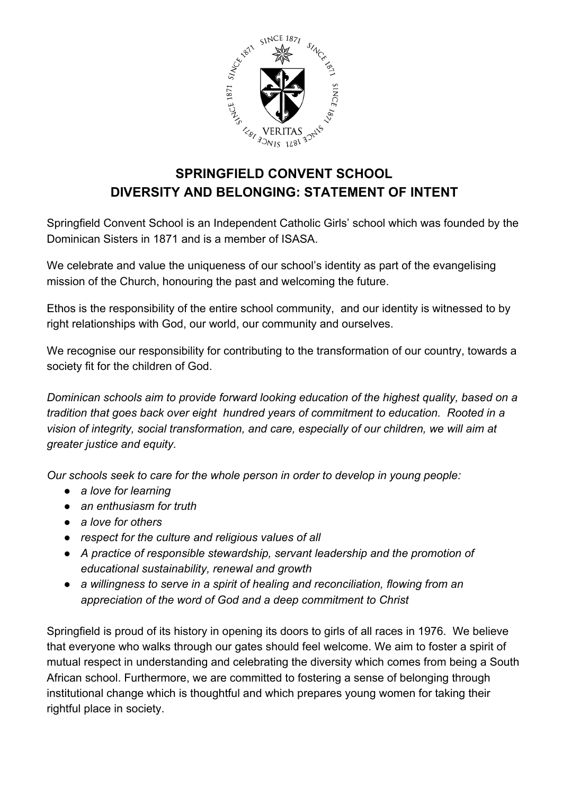

## **SPRINGFIELD CONVENT SCHOOL DIVERSITY AND BELONGING: STATEMENT OF INTENT**

Springfield Convent School is an Independent Catholic Girls' school which was founded by the Dominican Sisters in 1871 and is a member of ISASA.

We celebrate and value the uniqueness of our school's identity as part of the evangelising mission of the Church, honouring the past and welcoming the future.

Ethos is the responsibility of the entire school community, and our identity is witnessed to by right relationships with God, our world, our community and ourselves.

We recognise our responsibility for contributing to the transformation of our country, towards a society fit for the children of God.

*Dominican schools aim to provide forward looking education of the highest quality, based on a tradition that goes back over eight hundred years of commitment to education. Rooted in a vision of integrity, social transformation, and care, especially of our children, we will aim at greater justice and equity.*

*Our schools seek to care for the whole person in order to develop in young people:*

- *● a love for learning*
- *● an enthusiasm for truth*
- *● a love for others*
- *● respect for the culture and religious values of all*
- *● A practice of responsible stewardship, servant leadership and the promotion of educational sustainability, renewal and growth*
- *● a willingness to serve in a spirit of healing and reconciliation, flowing from an appreciation of the word of God and a deep commitment to Christ*

Springfield is proud of its history in opening its doors to girls of all races in 1976. We believe that everyone who walks through our gates should feel welcome. We aim to foster a spirit of mutual respect in understanding and celebrating the diversity which comes from being a South African school. Furthermore, we are committed to fostering a sense of belonging through institutional change which is thoughtful and which prepares young women for taking their rightful place in society.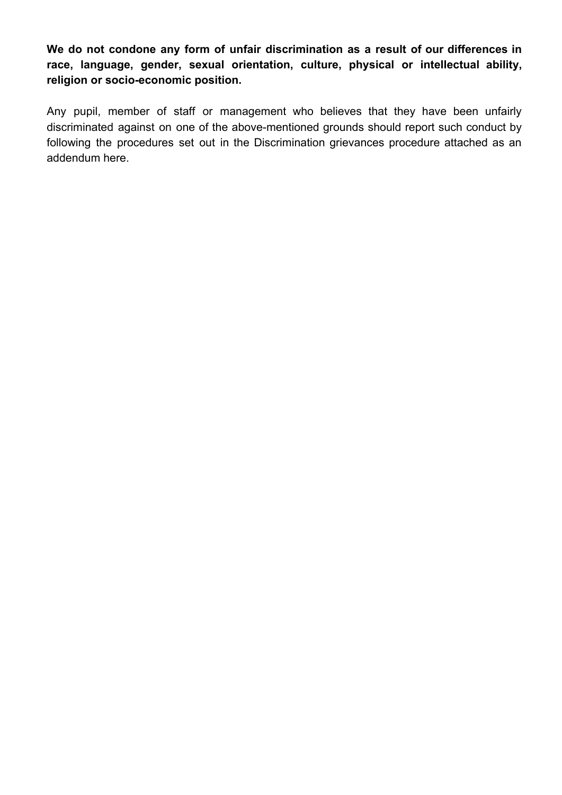**We do not condone any form of unfair discrimination as a result of our differences in race, language, gender, sexual orientation, culture, physical or intellectual ability, religion or socio-economic position.**

Any pupil, member of staff or management who believes that they have been unfairly discriminated against on one of the above-mentioned grounds should report such conduct by following the procedures set out in the Discrimination grievances procedure attached as an addendum here.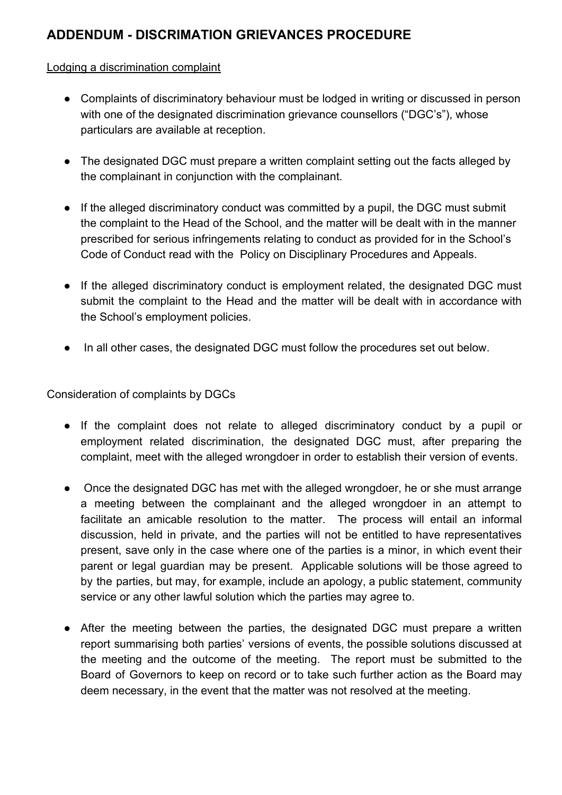## **ADDENDUM - DISCRIMATION GRIEVANCES PROCEDURE**

## Lodging a discrimination complaint

- Complaints of discriminatory behaviour must be lodged in writing or discussed in person with one of the designated discrimination grievance counsellors ("DGC's"), whose particulars are available at reception.
- The designated DGC must prepare a written complaint setting out the facts alleged by the complainant in conjunction with the complainant.
- If the alleged discriminatory conduct was committed by a pupil, the DGC must submit the complaint to the Head of the School, and the matter will be dealt with in the manner prescribed for serious infringements relating to conduct as provided for in the School's Code of Conduct read with the Policy on Disciplinary Procedures and Appeals.
- If the alleged discriminatory conduct is employment related, the designated DGC must submit the complaint to the Head and the matter will be dealt with in accordance with the School's employment policies.
- In all other cases, the designated DGC must follow the procedures set out below.

Consideration of complaints by DGCs

- If the complaint does not relate to alleged discriminatory conduct by a pupil or employment related discrimination, the designated DGC must, after preparing the complaint, meet with the alleged wrongdoer in order to establish their version of events.
- Once the designated DGC has met with the alleged wrongdoer, he or she must arrange a meeting between the complainant and the alleged wrongdoer in an attempt to facilitate an amicable resolution to the matter. The process will entail an informal discussion, held in private, and the parties will not be entitled to have representatives present, save only in the case where one of the parties is a minor, in which event their parent or legal guardian may be present. Applicable solutions will be those agreed to by the parties, but may, for example, include an apology, a public statement, community service or any other lawful solution which the parties may agree to.
- After the meeting between the parties, the designated DGC must prepare a written report summarising both parties' versions of events, the possible solutions discussed at the meeting and the outcome of the meeting. The report must be submitted to the Board of Governors to keep on record or to take such further action as the Board may deem necessary, in the event that the matter was not resolved at the meeting.